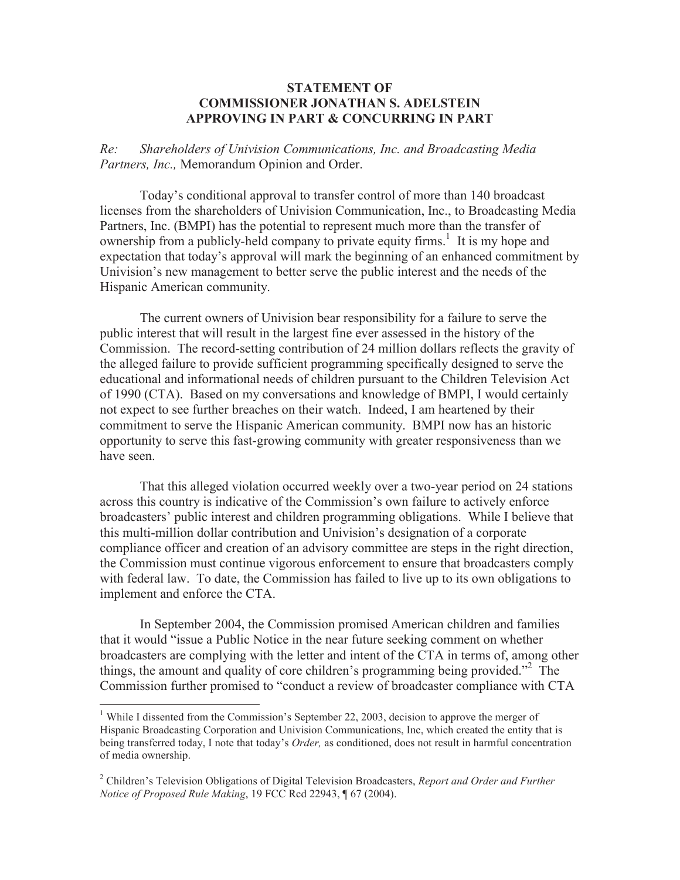## **STATEMENT OF COMMISSIONER JONATHAN S. ADELSTEIN APPROVING IN PART & CONCURRING IN PART**

*Re: Shareholders of Univision Communications, Inc. and Broadcasting Media Partners, Inc.,* Memorandum Opinion and Order.

Today's conditional approval to transfer control of more than 140 broadcast licenses from the shareholders of Univision Communication, Inc., to Broadcasting Media Partners, Inc. (BMPI) has the potential to represent much more than the transfer of ownership from a publicly-held company to private equity firms.<sup>1</sup> It is my hope and expectation that today's approval will mark the beginning of an enhanced commitment by Univision's new management to better serve the public interest and the needs of the Hispanic American community.

The current owners of Univision bear responsibility for a failure to serve the public interest that will result in the largest fine ever assessed in the history of the Commission. The record-setting contribution of 24 million dollars reflects the gravity of the alleged failure to provide sufficient programming specifically designed to serve the educational and informational needs of children pursuant to the Children Television Act of 1990 (CTA). Based on my conversations and knowledge of BMPI, I would certainly not expect to see further breaches on their watch. Indeed, I am heartened by their commitment to serve the Hispanic American community. BMPI now has an historic opportunity to serve this fast-growing community with greater responsiveness than we have seen.

That this alleged violation occurred weekly over a two-year period on 24 stations across this country is indicative of the Commission's own failure to actively enforce broadcasters' public interest and children programming obligations. While I believe that this multi-million dollar contribution and Univision's designation of a corporate compliance officer and creation of an advisory committee are steps in the right direction, the Commission must continue vigorous enforcement to ensure that broadcasters comply with federal law. To date, the Commission has failed to live up to its own obligations to implement and enforce the CTA.

In September 2004, the Commission promised American children and families that it would "issue a Public Notice in the near future seeking comment on whether broadcasters are complying with the letter and intent of the CTA in terms of, among other things, the amount and quality of core children's programming being provided."<sup>2</sup> The Commission further promised to "conduct a review of broadcaster compliance with CTA

<sup>&</sup>lt;sup>1</sup> While I dissented from the Commission's September 22, 2003, decision to approve the merger of Hispanic Broadcasting Corporation and Univision Communications, Inc, which created the entity that is being transferred today, I note that today's *Order,* as conditioned, does not result in harmful concentration of media ownership.

<sup>2</sup> Children's Television Obligations of Digital Television Broadcasters, *Report and Order and Further Notice of Proposed Rule Making*, 19 FCC Rcd 22943, ¶ 67 (2004).